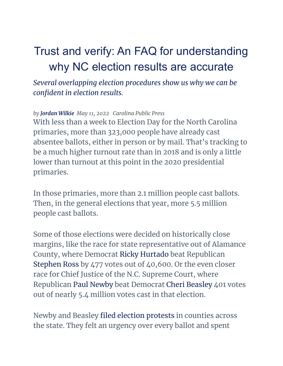# Trust and verify: An FAQ for understanding why NC election results are accurate

*Several overlapping election procedures show us why we can be confident in election results.*

*by [Jordan](https://carolinapublicpress.org/author/jordan-wilkie/) Wilkie May 11, 2022 Carolina Public Press*

With less than a week to Election Day for the North Carolina primaries, more than 323,000 people have already cast absentee ballots, either in person or by mail. That's tracking to be a much higher turnout rate than in 2018 and is only a little lower than turnout at this point in the 2020 presidential primaries.

In those primaries, more than 2.1 million people cast ballots. Then, in the general elections that year, more 5.5 million people cast ballots.

Some of those elections were decided on historically close margins, like the race for state representative out of Alamance County, where Democrat Ricky Hurtado beat Republican Stephen Ross by 477 votes out of 40,600. Or the even closer race for Chief Justice of the N.C. Supreme Court, where Republican Paul Newby beat Democrat Cheri Beasley 401 votes out of nearly 5.4 million votes cast in that election.

Newby and Beasley filed election [protests](https://carolinapublicpress.org/40016/chief-justice-delayed-protests-recount-holding-up-certification-of-nc-supreme-court-race/) in counties across the state. They felt an urgency over every ballot and spent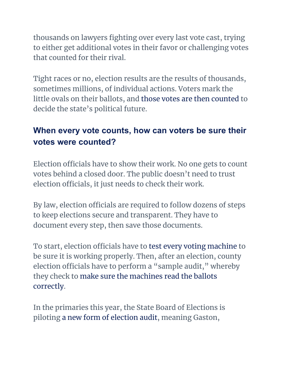thousands on lawyers fighting over every last vote cast, trying to either get additional votes in their favor or challenging votes that counted for their rival.

Tight races or no, election results are the results of thousands, sometimes millions, of individual actions. Voters mark the little ovals on their ballots, and those votes are then [counted](https://www.ncsbe.gov/news/press-releases/2022/05/03/how-know-your-vote-counted-nc) to decide the state's political future.

## **When every vote counts, how can voters be sure their votes were counted?**

Election officials have to show their work. No one gets to count votes behind a closed door. The public doesn't need to trust election officials, it just needs to check their work.

By law, election officials are required to follow dozens of steps to keep elections secure and transparent. They have to document every step, then save those documents.

To start, election officials have to [test every](https://carolinapublicpress.org/53380/nc-counties-prepare-voting-systems-for-early-voting/) voting machine to be sure it is working properly. Then, after an election, county election officials have to perform a "sample audit, " whereby they check to make sure the [machines](https://carolinapublicpress.org/49526/15-nc-counties-piloting-new-system-for-auditing-elections/) read the ballots [correctly](https://carolinapublicpress.org/49526/15-nc-counties-piloting-new-system-for-auditing-elections/).

In the primaries this year, the State Board of Elections is piloting a new form [of election](https://carolinapublicpress.org/47584/officials-say-new-voting-audits-offer-trust-and-transparency-in-elections/) audit, meaning Gaston,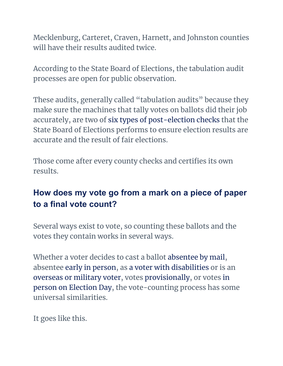Mecklenburg, Carteret, Craven, Harnett, and Johnston counties will have their results audited twice.

According to the State Board of Elections, the tabulation audit processes are open for public observation.

These audits, generally called "tabulation audits" because they make sure the machines that tally votes on ballots did their job accurately, are two of six types [of post-election](https://www.ncsbe.gov/about-elections/election-security/post-election-procedures-and-audits) checks that the State Board of Elections performs to ensure election results are accurate and the result of fair elections.

Those come after every county checks and certifies its own results.

# **How does my vote go from a mark on a piece of paper to a final vote count?**

Several ways exist to vote, so counting these ballots and the votes they contain works in several ways.

Whether a voter decides to cast a ballot [absentee](https://www.ncsbe.gov/voting/vote-mail) by mail, absentee early in [person](https://www.ncsbe.gov/voting/vote-early-person), as a voter with [disabilities](https://www.ncsbe.gov/voting/help-voters-disabilities) or is an [overseas](https://www.ncsbe.gov/voting/vote-mail/military-and-overseas-voting) or military voter, votes [provisionally,](https://www.ncsbe.gov/voting/provisional-voting) or votes [in](https://www.ncsbe.gov/voting/vote-person-election-day) person on [Election](https://www.ncsbe.gov/voting/vote-person-election-day) Day, the vote-counting process has some universal similarities.

It goes like this.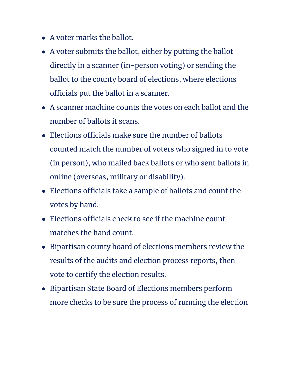- A voter marks the ballot.
- A voter submits the ballot, either by putting the ballot directly in a scanner (in-person voting) or sending the ballot to the county board of elections, where elections officials put the ballot in a scanner.
- A scanner machine counts the votes on each ballot and the number of ballots it scans.
- Elections officials make sure the number of ballots counted match the number of voters who signed in to vote (in person), who mailed back ballots or who sent ballots in online (overseas, military or disability).
- Elections officials take a sample of ballots and count the votes by hand.
- $\bullet$  Elections officials check to see if the machine count matches the hand count.
- Bipartisan county board of elections members review the results of the audits and election process reports, then vote to certify the election results.
- Bipartisan State Board of Elections members perform more checks to be sure the process of running the election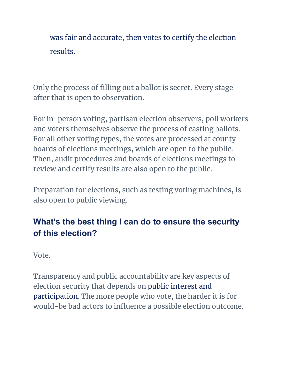was fair and accurate, then votes to certify the election results.

Only the process of filling out a ballot is secret. Every stage after that is open to observation.

For in-person voting, partisan election observers, poll workers and voters themselves observe the process of casting ballots. For all other voting types, the votes are processed at county boards of elections meetings, which are open to the public. Then, audit procedures and boards of elections meetings to review and certify results are also open to the public.

Preparation for elections, such as testing voting machines, is also open to public viewing.

# **What's the best thing I can do to ensure the security of this election?**

Vote.

Transparency and public accountability are key aspects of election security that depends on public [interest](https://www.ncsbe.gov/about-elections/get-involved-elections) and [participation.](https://www.ncsbe.gov/about-elections/get-involved-elections) The more people who vote, the harder it is for would-be bad actors to influence a possible election outcome.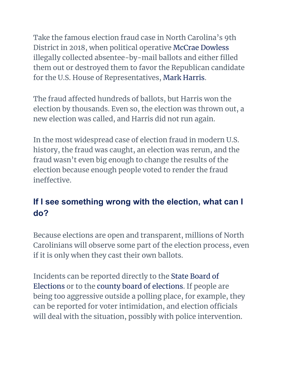Take the famous election fraud case in North Carolina's 9th District in 2018, when political operative McCrae Dowless illegally collected absentee-by-mail ballots and either filled them out or destroyed them to favor the Republican candidate for the U.S. House of Representatives, Mark Harris.

The fraud affected hundreds of ballots, but Harris won the election by thousands. Even so, the election was thrown out, a new election was called, and Harris did not run again.

In the most widespread case of election fraud in modern U.S. history, the fraud was caught, an election was rerun, and the fraud wasn't even big enough to change the results of the election because enough people voted to render the fraud ineffective.

## **If I see something wrong with the election, what can I do?**

Because elections are open and transparent, millions of North Carolinians will observe some part of the election process, even if it is only when they cast their own ballots.

Incidents can be reported directly to the State [Board](https://www.ncsbe.gov/contact) of [Elections](https://www.ncsbe.gov/contact) or to the county board [of elections](https://vt.ncsbe.gov/BOEInfo/). If people are being too aggressive outside a polling place, for example, they can be reported for voter intimidation, and election officials will deal with the situation, possibly with police intervention.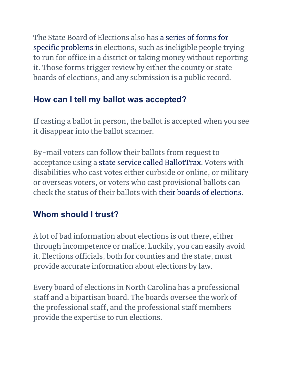The State Board of Elections also has a series [of forms](https://www.ncsbe.gov/about-elections/legal-resources/challenge-protest-appeal-and-complaint-forms) for specific [problems](https://www.ncsbe.gov/about-elections/legal-resources/challenge-protest-appeal-and-complaint-forms) in elections, such as ineligible people trying to run for office in a district or taking money without reporting it. Those forms trigger review by either the county or state boards of elections, and any submission is a public record.

#### **How can I tell my ballot was accepted?**

If casting a ballot in person, the ballot is accepted when you see it disappear into the ballot scanner.

By-mail voters can follow their ballots from request to acceptance using a state service called [BallotTrax.](https://northcarolina.ballottrax.net/) Voters with disabilities who cast votes either curbside or online, or military or overseas voters, or voters who cast provisional ballots can check the status of their ballots with their boards [of elections.](https://vt.ncsbe.gov/BOEInfo/)

## **Whom should I trust?**

A lot of bad information about elections is out there, either through incompetence or malice. Luckily, you can easily avoid it. Elections officials, both for counties and the state, must provide accurate information about elections by law.

Every board of elections in North Carolina has a professional staff and a bipartisan board. The boards oversee the work of the professional staff, and the professional staff members provide the expertise to run elections.